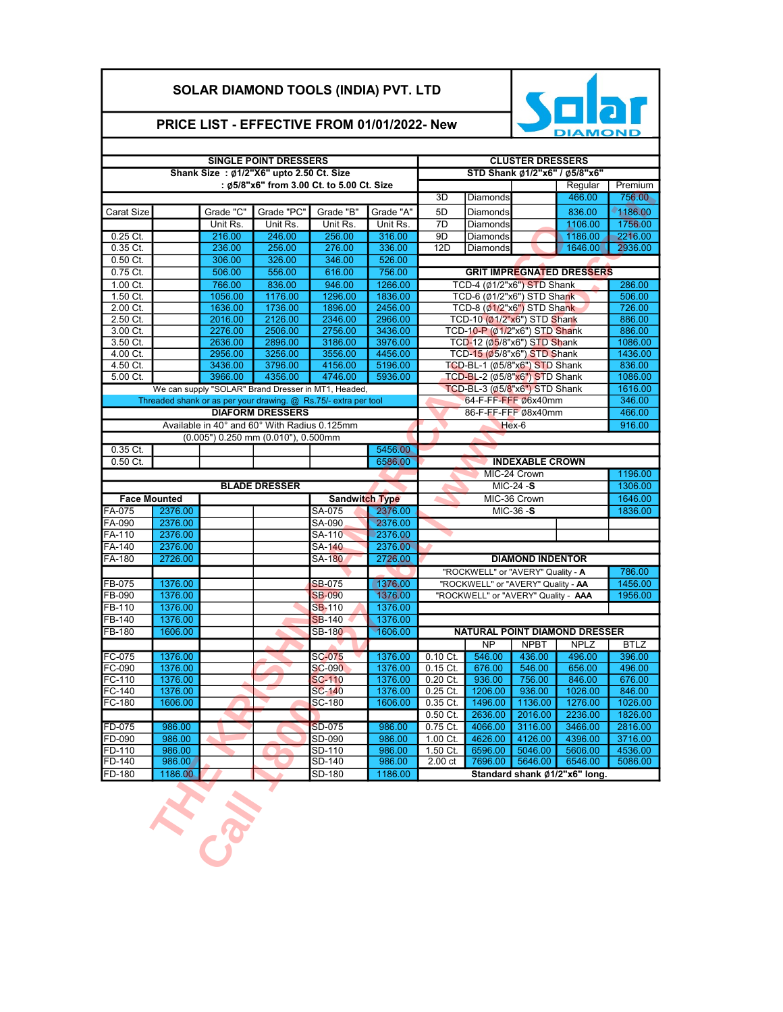## SOLAR DIAMOND TOOLS (INDIA) PVT. LTD



## PRICE LIST - EFFECTIVE FROM 01/01/2022- New

|                      |         |                    | <b>SINGLE POINT DRESSERS</b>                 | <b>CLUSTER DRESSERS</b>                                         |                    |                                                                           |                                                           |                              |                                  |             |  |  |
|----------------------|---------|--------------------|----------------------------------------------|-----------------------------------------------------------------|--------------------|---------------------------------------------------------------------------|-----------------------------------------------------------|------------------------------|----------------------------------|-------------|--|--|
|                      |         |                    | Shank Size: Ø1/2"X6" upto 2.50 Ct. Size      |                                                                 |                    |                                                                           |                                                           |                              | STD Shank Ø1/2"x6" / Ø5/8"x6"    |             |  |  |
|                      |         |                    |                                              | : Ø5/8"x6" from 3.00 Ct. to 5.00 Ct. Size                       |                    |                                                                           |                                                           |                              | Regular                          | Premium     |  |  |
|                      |         |                    |                                              |                                                                 |                    | 3D                                                                        | Diamonds                                                  |                              | 466.00                           | 756.00      |  |  |
| Carat Size           |         | Grade "C"          | Grade "PC"                                   | Grade "B"                                                       | Grade "A"          | 5D                                                                        | Diamonds                                                  |                              | 836.00                           | 1186.00     |  |  |
|                      |         | Unit Rs.           | Unit Rs.                                     | Unit Rs.                                                        | Unit Rs.           | 7D                                                                        | Diamonds                                                  |                              | 1106.00                          | 1756.00     |  |  |
| $0.25$ Ct.           |         | 216.00             | 246.00                                       | 256.00                                                          | 316.00             | 9D                                                                        | Diamonds                                                  |                              | 1186.00                          | 2216.00     |  |  |
| 0.35 Ct.             |         | 236.00             | 256.00                                       | 276.00                                                          | 336.00             | 12D                                                                       | Diamonds                                                  |                              | 1646.00                          | 2936.00     |  |  |
| $0.50$ Ct.           |         | 306.00             | 326.00                                       | 346.00                                                          | 526.00             |                                                                           |                                                           |                              |                                  |             |  |  |
| 0.75 Ct.             |         | 506.00             | 556.00                                       | 616.00                                                          | 756.00             |                                                                           |                                                           |                              | <b>GRIT IMPREGNATED DRESSERS</b> |             |  |  |
| 1.00 Ct.             |         | 766.00             | 836.00                                       | 946.00                                                          | 1266.00            |                                                                           | TCD-4 (Ø1/2"x6") STD Shank<br>TCD-6 (Ø1/2"x6") STD Shank  |                              |                                  | 286.00      |  |  |
| 1.50 Ct.             |         | 1056.00            | 1176.00                                      | 1296.00                                                         | 1836.00            |                                                                           | 506.00<br>726.00                                          |                              |                                  |             |  |  |
| 2.00 Ct.<br>2.50 Ct. |         | 1636.00<br>2016.00 | 1736.00<br>2126.00                           | 1896.00<br>2346.00                                              | 2456.00<br>2966.00 |                                                                           | TCD-8 (01/2"x6") STD Shank<br>TCD-10 (Ø1/2"x6") STD Shank |                              |                                  | 886.00      |  |  |
| 3.00 Ct.             |         | 2276.00            | 2506.00                                      | 2756.00                                                         | 3436.00            |                                                                           | TCD-10-P (Ø1/2"x6") STD Shank                             |                              |                                  | 886.00      |  |  |
| 3.50 Ct.             |         | 2636.00            | 2896.00                                      | 3186.00                                                         | 3976.00            |                                                                           | 1086.00                                                   |                              |                                  |             |  |  |
| 4.00 Ct.             |         | 2956.00            | 3256.00                                      | 3556.00                                                         | 4456.00            | TCD-12 (Ø5/8"x6") STD Shank<br>TCD-15 (Ø5/8"x6") STD Shank                |                                                           |                              |                                  | 1436.00     |  |  |
| 4.50 Ct.             |         | 3436.00            | 3796.00                                      | 4156.00                                                         | 5196.00            | TCD-BL-1 (Ø5/8"x6") STD Shank                                             |                                                           |                              |                                  | 836.00      |  |  |
| 5.00 Ct.             |         | 3966.00            | 4356.00                                      | 4746.00                                                         | 5936.00            |                                                                           | TCD-BL-2 (Ø5/8"x6") STD Shank                             |                              |                                  | 1086.00     |  |  |
|                      |         |                    |                                              | We can supply "SOLAR" Brand Dresser in MT1, Headed,             |                    |                                                                           | TCD-BL-3 (Ø5/8"x6") STD Shank<br>64-F-FF-FFF Ø6x40mm      |                              |                                  | 1616.00     |  |  |
|                      |         |                    |                                              | Threaded shank or as per your drawing. @ Rs.75/- extra per tool |                    |                                                                           | 346.00                                                    |                              |                                  |             |  |  |
|                      |         |                    | <b>DIAFORM DRESSERS</b>                      |                                                                 |                    |                                                                           | 86-F-EF-FEF Ø8x40mm                                       |                              |                                  | 466.00      |  |  |
|                      |         |                    | Available in 40° and 60° With Radius 0.125mm |                                                                 |                    |                                                                           |                                                           | Hex-6                        |                                  | 916.00      |  |  |
|                      |         |                    | (0.005") 0.250 mm (0.010"), 0.500mm          |                                                                 |                    |                                                                           |                                                           |                              |                                  |             |  |  |
| 0.35 Ct.             |         |                    |                                              |                                                                 | 5456.00            |                                                                           |                                                           |                              |                                  |             |  |  |
| 0.50 Ct.             |         |                    |                                              |                                                                 | 6586.00            |                                                                           |                                                           | <b>INDEXABLE CROWN</b>       |                                  |             |  |  |
|                      |         |                    |                                              |                                                                 |                    |                                                                           |                                                           | MIC-24 Crown<br>$MIC-24 - S$ |                                  | 1196.00     |  |  |
|                      |         |                    | <b>BLADE DRESSER</b>                         |                                                                 |                    |                                                                           | 1306.00                                                   |                              |                                  |             |  |  |
| <b>Face Mounted</b>  |         |                    |                                              | <b>Sandwitch Type</b>                                           |                    |                                                                           |                                                           | MIC-36 Crown                 |                                  | 1646.00     |  |  |
| FA-075               | 2376.00 |                    |                                              | SA-075                                                          | 2376.00            |                                                                           |                                                           | MIC-36-S                     |                                  | 1836.00     |  |  |
| FA-090               | 2376.00 |                    |                                              | SA-090                                                          | 2376.00            |                                                                           |                                                           |                              |                                  |             |  |  |
| FA-110               | 2376.00 |                    |                                              | SA-110                                                          | 2376.00            |                                                                           |                                                           |                              |                                  |             |  |  |
| FA-140               | 2376.00 |                    |                                              | SA-140                                                          | 2376.00            |                                                                           |                                                           |                              |                                  |             |  |  |
| FA-180               | 2726.00 |                    |                                              | <b>SA-180</b>                                                   | 2726.00            |                                                                           |                                                           | <b>DIAMOND INDENTOR</b>      |                                  | 786.00      |  |  |
| FB-075               | 1376.00 |                    |                                              | <b>SB-075</b>                                                   | 1376.00            | "ROCKWELL" or "AVERY" Quality - A                                         |                                                           |                              |                                  | 1456.00     |  |  |
| FB-090               | 1376.00 |                    |                                              | <b>SB-090</b>                                                   | 1376.00            | "ROCKWELL" or "AVERY" Quality - AA<br>"ROCKWELL" or "AVERY" Quality - AAA |                                                           |                              |                                  | 1956.00     |  |  |
| FB-110               | 1376.00 |                    |                                              | <b>SB-110</b>                                                   | 1376.00            |                                                                           |                                                           |                              |                                  |             |  |  |
| FB-140               | 1376.00 |                    |                                              | <b>SB-140</b>                                                   | 1376.00            |                                                                           |                                                           |                              |                                  |             |  |  |
| FB-180               | 1606.00 |                    |                                              | <b>SB-180</b>                                                   | 1606.00            |                                                                           | NATURAL POINT DIAMOND DRESSER                             |                              |                                  |             |  |  |
|                      |         |                    |                                              |                                                                 |                    |                                                                           | <b>NP</b>                                                 | <b>NPBT</b>                  | <b>NPLZ</b>                      | <b>BTLZ</b> |  |  |
| FC-075               | 1376.00 |                    |                                              | <b>SC-075</b>                                                   | 1376.00            | $0.10 \text{ C}$ t.                                                       | 546.00                                                    | 436.00                       | 496.00                           | 396.00      |  |  |
| FC-090               | 1376.00 |                    |                                              | <b>SC-090</b>                                                   | 1376.00            | $0.15$ Ct.                                                                | 676.00                                                    | 546.00                       | 656.00                           | 496.00      |  |  |
| FC-110               | 1376.00 |                    |                                              | <b>SC-110</b>                                                   | 1376.00            | 0.20 Ct.                                                                  | 936.00                                                    | 756.00                       | 846.00                           | 676.00      |  |  |
| FC-140               | 1376.00 |                    |                                              | <b>SC-140</b>                                                   | 1376.00            | 0.25 Ct.                                                                  | 1206.00                                                   | 936.00                       | 1026.00                          | 846.00      |  |  |
| FC-180               | 1606.00 |                    |                                              | SC-180                                                          | 1606.00            | $0.35$ Ct.                                                                | 1496.00                                                   | 1136.00                      | 1276.00                          | 1026.00     |  |  |
|                      |         |                    |                                              |                                                                 |                    | $0.50$ Ct.                                                                | 2636.00                                                   | 2016.00                      | 2236.00                          | 1826.00     |  |  |
| FD-075               | 986.00  |                    |                                              | <b>SD-075</b>                                                   | 986.00             | 0.75 Ct.                                                                  | 4066.00                                                   | 3116.00                      | 3466.00                          | 2816.00     |  |  |
| FD-090               | 986.00  |                    |                                              | SD-090                                                          | 986.00             | 1.00 Ct.                                                                  | 4626.00                                                   | 4126.00                      | 4396.00                          | 3716.00     |  |  |
| FD-110               | 986.00  |                    |                                              | SD-110                                                          | 986.00             | 1.50 Ct.                                                                  | 6596.00                                                   | 5046.00                      | 5606.00                          | 4536.00     |  |  |
| FD-140               | 986.00  |                    |                                              | SD-140                                                          | 986.00             | 2.00 ct                                                                   | 7696.00                                                   | 5646.00                      | 6546.00                          | 5086.00     |  |  |
| FD-180               | 1186.00 |                    |                                              | SD-180                                                          | 1186.00            |                                                                           |                                                           |                              | Standard shank Ø1/2"x6" long.    |             |  |  |
|                      |         | <b>S.S.</b>        |                                              |                                                                 |                    |                                                                           |                                                           |                              |                                  |             |  |  |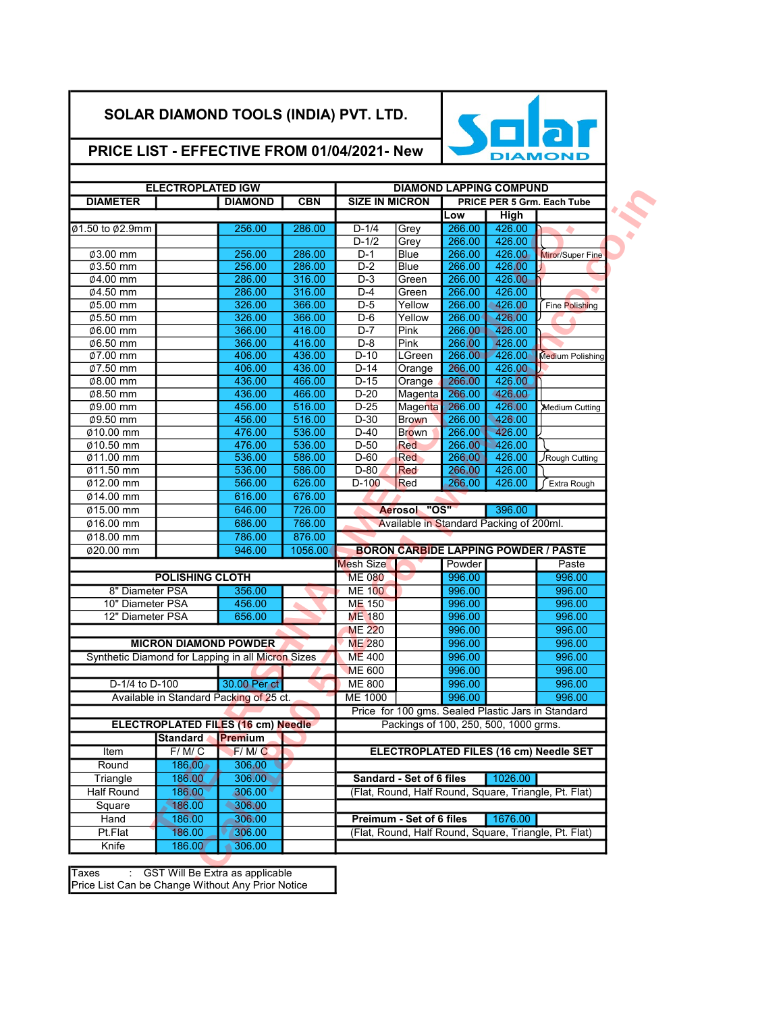## SOLAR DIAMOND TOOLS (INDIA) PVT. LTD.



## PRICE LIST - EFFECTIVE FROM 01/04/2021- New

|                                                       |                                         | <b>DIAMOND LAPPING COMPUND</b> | <b>ELECTROPLATED IGW</b> |                       |                                                 |                                           |                              |                                                   |  |
|-------------------------------------------------------|-----------------------------------------|--------------------------------|--------------------------|-----------------------|-------------------------------------------------|-------------------------------------------|------------------------------|---------------------------------------------------|--|
| <b>PRICE PER 5 Grm. Each Tube</b>                     |                                         |                                |                          | <b>SIZE IN MICRON</b> | <b>DIAMETER</b><br><b>DIAMOND</b><br><b>CBN</b> |                                           |                              |                                                   |  |
|                                                       | <b>High</b>                             | Low                            |                          |                       |                                                 |                                           |                              |                                                   |  |
|                                                       | 426.00                                  | 266.00                         | Grey                     | $D-1/4$               | 286.00                                          | 256.00                                    |                              | Ø1.50 to Ø2.9mm                                   |  |
|                                                       | 426.00                                  | 266.00                         | Grey                     | $D-1/2$               |                                                 |                                           |                              |                                                   |  |
| Miror/Super Fine                                      | 426.00                                  | 266.00                         | <b>Blue</b>              | $D-1$                 | 286.00                                          | 256.00                                    |                              | $\overline{\phi}$ 3.00 mm                         |  |
|                                                       | 426.00                                  | 266.00                         | <b>Blue</b>              | $D-2$                 | 286.00                                          | 256.00                                    |                              | Ø3.50 mm                                          |  |
|                                                       | 426.00                                  | 266.00                         | Green                    | $D-3$                 | 316.00                                          | 286.00                                    |                              | Ø4.00 mm                                          |  |
|                                                       | 426.00                                  | 266.00                         | Green                    | $D-4$                 | 316.00                                          | 286.00                                    |                              | Ø4.50 mm                                          |  |
| Fine Polishing                                        | 426.00                                  | 266.00                         | Yellow                   | $D-5$                 | 366.00                                          | 326.00                                    |                              | Ø5.00 mm                                          |  |
|                                                       | 426.00                                  | 266.00                         | Yellow                   | $D-6$                 | 366.00                                          | 326.00                                    |                              | Ø5.50 mm                                          |  |
|                                                       | 426.00                                  | 266.00                         | Pink                     | $D-7$                 | 416.00                                          | 366.00                                    |                              | 06.00 mm                                          |  |
|                                                       | 426.00                                  | 266.00                         | Pink                     | $D-8$                 | 416.00                                          | 366.00                                    |                              | Ø6.50 mm                                          |  |
| Medium Polishing                                      | 426.00                                  | 266.00                         | LGreen                   | $D-10$                | 436.00                                          | 406.00                                    |                              | Ø7.00 mm                                          |  |
|                                                       | 426.00                                  | 266.00                         | Orange                   | $D-14$                | 436.00                                          | 406.00                                    |                              | Ø7.50 mm                                          |  |
|                                                       | 426.00                                  | 266.00                         | Orange                   | $D-15$                | 466.00                                          | 436.00                                    |                              | Ø8.00 mm                                          |  |
|                                                       | 426.00                                  | 266.00                         | Magenta                  | $D-20$                | 466.00                                          | 436.00                                    |                              | Ø8.50 mm                                          |  |
| Medium Cutting                                        | 426.00                                  | 266.00                         | Magenta                  | $D-25$                | 516.00                                          | 456.00                                    |                              | 09.00 mm                                          |  |
|                                                       | 426.00                                  | 266.00                         | <b>Brown</b>             | $D-30$                | 516.00                                          | 456.00                                    |                              | Ø9.50 mm                                          |  |
|                                                       | 426.00                                  | 266.00                         | <b>Brown</b>             | $D-40$                | 536.00                                          | 476.00                                    |                              | Ø10.00 mm                                         |  |
|                                                       | 426.00                                  | 266.00                         | <b>Red</b>               | $D-50$                | 536.00                                          | 476.00                                    |                              | $010.50$ mm                                       |  |
| Rough Cutting                                         | 426.00                                  | 266.00                         | Red                      | $D-60$                | 586.00                                          | 536.00                                    |                              | Ø11.00 mm                                         |  |
|                                                       | 426.00                                  | 266.00                         | <b>Red</b>               | $D-80$                | 586.00                                          | 536.00                                    |                              | Ø11.50 mm                                         |  |
| Extra Rough                                           | 426.00                                  | 266.00                         | Red                      | $D-100$               | 626.00                                          | 566.00                                    |                              | 012.00 mm                                         |  |
|                                                       |                                         |                                |                          |                       | 676.00                                          | 616.00                                    |                              | Ø14.00 mm                                         |  |
|                                                       | 396.00                                  |                                | Aerosol "OS"             |                       | 726.00                                          | 646.00                                    |                              |                                                   |  |
|                                                       |                                         |                                |                          |                       |                                                 |                                           |                              | Ø15.00 mm                                         |  |
|                                                       | Available in Standard Packing of 200ml. |                                |                          |                       | 766.00                                          | 686.00                                    |                              | Ø16.00 mm                                         |  |
|                                                       |                                         |                                |                          |                       | 876.00                                          | 786.00                                    |                              | $Ø18.00$ mm                                       |  |
| <b>BORON CARBIDE LAPPING POWDER / PASTE</b>           |                                         |                                |                          |                       | 1056.00                                         | 946.00                                    |                              | $\overline{020.00 \text{ mm}}$                    |  |
| Paste                                                 |                                         | Powder                         |                          | <b>Mesh Size</b>      |                                                 |                                           |                              |                                                   |  |
| 996.00                                                |                                         | 996.00                         |                          | <b>ME 080</b>         |                                                 |                                           | <b>POLISHING CLOTH</b>       |                                                   |  |
| 996.00                                                |                                         | 996.00                         |                          | <b>ME 100</b>         |                                                 | 356.00                                    |                              | 8" Diameter PSA                                   |  |
| 996.00                                                |                                         | 996.00                         |                          | <b>ME 150</b>         |                                                 | 456.00                                    |                              | 10" Diameter PSA                                  |  |
| 996.00                                                |                                         | 996.00                         |                          | <b>ME 180</b>         |                                                 | 656.00                                    |                              | 12" Diameter PSA                                  |  |
| 996.00                                                |                                         | 996.00                         |                          | <b>ME 220</b>         |                                                 |                                           |                              |                                                   |  |
| 996.00                                                |                                         | 996.00                         |                          | <b>ME 280</b>         |                                                 |                                           | <b>MICRON DIAMOND POWDER</b> |                                                   |  |
| 996.00                                                |                                         | 996.00                         |                          | <b>ME 400</b>         |                                                 |                                           |                              | Synthetic Diamond for Lapping in all Micron Sizes |  |
| 996.00                                                |                                         | 996.00                         |                          | <b>ME 600</b>         |                                                 |                                           |                              |                                                   |  |
| 996.00                                                |                                         | 996.00                         |                          | <b>ME 800</b>         |                                                 | 30.00 Per ct                              |                              | D-1/4 to D-100                                    |  |
| 996.00                                                |                                         | 996.00                         |                          | <b>ME 1000</b>        |                                                 | Available in Standard Packing of 25 ct.   |                              |                                                   |  |
|                                                       |                                         |                                |                          |                       |                                                 |                                           |                              |                                                   |  |
| Price for 100 gms. Sealed Plastic Jars in Standard    | Packings of 100, 250, 500, 1000 grms.   |                                |                          |                       |                                                 | <b>ELECTROPLATED FILES (16 cm) Needle</b> |                              |                                                   |  |
|                                                       |                                         |                                |                          |                       |                                                 |                                           |                              |                                                   |  |
|                                                       |                                         |                                |                          |                       |                                                 |                                           | <b>Standard Premium</b>      |                                                   |  |
| ELECTROPLATED FILES (16 cm) Needle SET                |                                         |                                |                          |                       |                                                 | F/M/C                                     | F/M/C                        | Item                                              |  |
|                                                       |                                         |                                |                          |                       |                                                 | 306.00                                    | 186.00                       | Round                                             |  |
|                                                       | 1026.00                                 |                                | Sandard - Set of 6 files |                       |                                                 | 306.00                                    | 186.00                       | Triangle                                          |  |
| (Flat, Round, Half Round, Square, Triangle, Pt. Flat) |                                         |                                |                          |                       |                                                 | 306.00                                    | 186.00                       | <b>Half Round</b>                                 |  |
|                                                       |                                         |                                |                          |                       |                                                 | 306.00                                    | 186.00                       | Square                                            |  |
|                                                       | 1676.00                                 |                                | Preimum - Set of 6 files |                       |                                                 | 306.00                                    | 186.00                       | Hand                                              |  |
| (Flat, Round, Half Round, Square, Triangle, Pt. Flat) |                                         |                                |                          |                       |                                                 | 306.00<br>306.00                          | 186.00<br>186.00             | Pt.Flat<br>Knife                                  |  |

Taxes : GST Will Be Extra as applicable Price List Can be Change Without Any Prior Notice